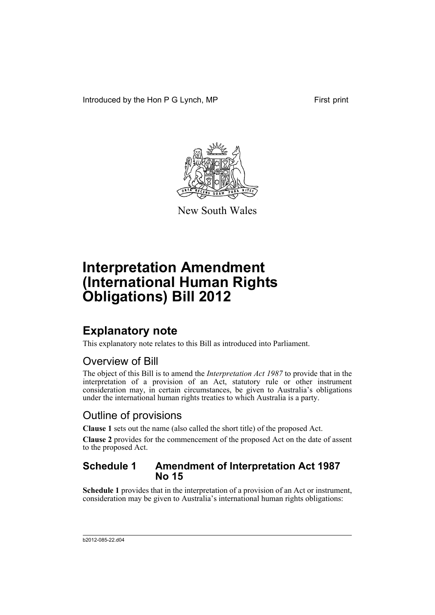Introduced by the Hon P G Lynch, MP First print



New South Wales

# **Interpretation Amendment (International Human Rights Obligations) Bill 2012**

### **Explanatory note**

This explanatory note relates to this Bill as introduced into Parliament.

### Overview of Bill

The object of this Bill is to amend the *Interpretation Act 1987* to provide that in the interpretation of a provision of an Act, statutory rule or other instrument consideration may, in certain circumstances, be given to Australia's obligations under the international human rights treaties to which Australia is a party.

#### Outline of provisions

**Clause 1** sets out the name (also called the short title) of the proposed Act.

**Clause 2** provides for the commencement of the proposed Act on the date of assent to the proposed Act.

#### **Schedule 1 Amendment of Interpretation Act 1987 No 15**

**Schedule 1** provides that in the interpretation of a provision of an Act or instrument, consideration may be given to Australia's international human rights obligations: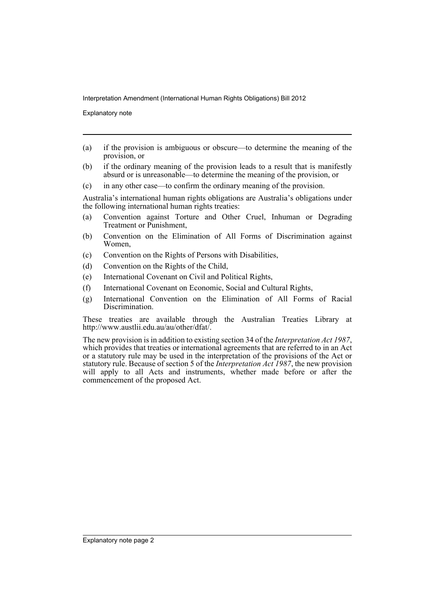Interpretation Amendment (International Human Rights Obligations) Bill 2012

Explanatory note

- (a) if the provision is ambiguous or obscure—to determine the meaning of the provision, or
- (b) if the ordinary meaning of the provision leads to a result that is manifestly absurd or is unreasonable—to determine the meaning of the provision, or
- (c) in any other case—to confirm the ordinary meaning of the provision.

Australia's international human rights obligations are Australia's obligations under the following international human rights treaties:

- (a) Convention against Torture and Other Cruel, Inhuman or Degrading Treatment or Punishment,
- (b) Convention on the Elimination of All Forms of Discrimination against Women,
- (c) Convention on the Rights of Persons with Disabilities,
- (d) Convention on the Rights of the Child,
- (e) International Covenant on Civil and Political Rights,
- (f) International Covenant on Economic, Social and Cultural Rights,
- (g) International Convention on the Elimination of All Forms of Racial Discrimination.

These treaties are available through the Australian Treaties Library at http://www.austlii.edu.au/au/other/dfat/.

The new provision is in addition to existing section 34 of the *Interpretation Act 1987*, which provides that treaties or international agreements that are referred to in an Act or a statutory rule may be used in the interpretation of the provisions of the Act or statutory rule. Because of section 5 of the *Interpretation Act 1987*, the new provision will apply to all Acts and instruments, whether made before or after the commencement of the proposed Act.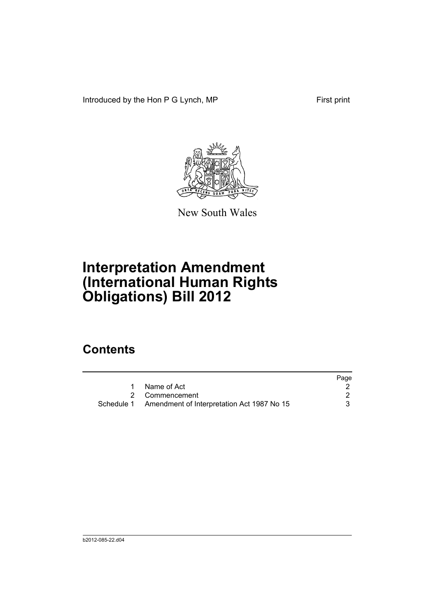Introduced by the Hon P G Lynch, MP First print



New South Wales

# **Interpretation Amendment (International Human Rights Obligations) Bill 2012**

### **Contents**

|                                                       | Page |
|-------------------------------------------------------|------|
| 1 Name of Act                                         |      |
| 2 Commencement                                        |      |
| Schedule 1 Amendment of Interpretation Act 1987 No 15 |      |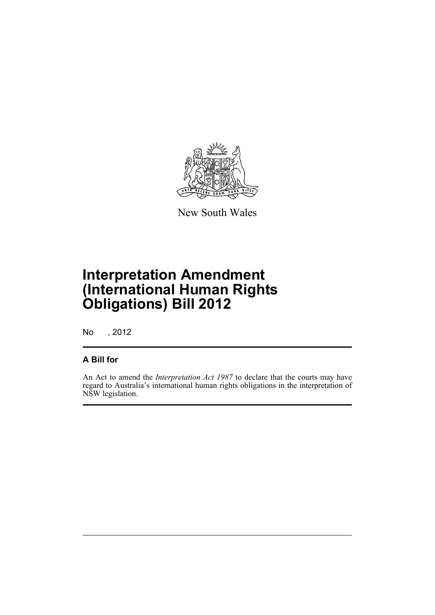

New South Wales

## **Interpretation Amendment (International Human Rights Obligations) Bill 2012**

No , 2012

#### **A Bill for**

An Act to amend the *Interpretation Act 1987* to declare that the courts may have regard to Australia's international human rights obligations in the interpretation of NSW legislation.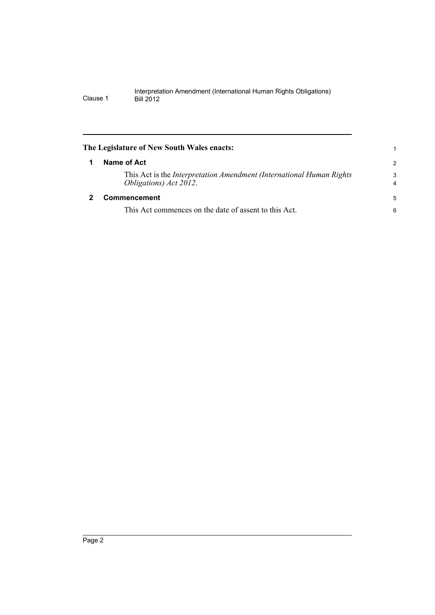<span id="page-5-1"></span><span id="page-5-0"></span>

| The Legislature of New South Wales enacts:                                                              | 1             |
|---------------------------------------------------------------------------------------------------------|---------------|
| Name of Act                                                                                             | $\mathcal{P}$ |
| This Act is the <i>Interpretation Amendment (International Human Rights</i> )<br>Obligations) Act 2012. | 3<br>4        |
| Commencement                                                                                            | 5             |
| This Act commences on the date of assent to this Act.                                                   | 6             |
|                                                                                                         |               |